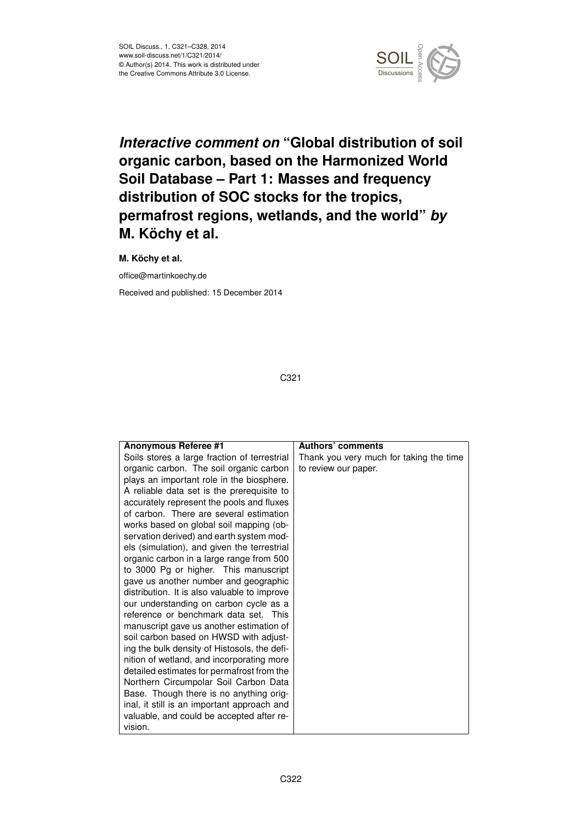

## *Interactive comment on* **"Global distribution of soil organic carbon, based on the Harmonized World Soil Database – Part 1: Masses and frequency distribution of SOC stocks for the tropics, permafrost regions, wetlands, and the world"** *by* **M. Köchy et al.**

**M. Köchy et al.**

office@martinkoechy.de

Received and published: 15 December 2014

## C321

| <b>Anonymous Referee #1</b>                  | <b>Authors' comments</b>                |
|----------------------------------------------|-----------------------------------------|
| Soils stores a large fraction of terrestrial | Thank you very much for taking the time |
| organic carbon. The soil organic carbon      | to review our paper.                    |
| plays an important role in the biosphere.    |                                         |
| A reliable data set is the prerequisite to   |                                         |
| accurately represent the pools and fluxes    |                                         |
| of carbon. There are several estimation      |                                         |
| works based on global soil mapping (ob-      |                                         |
| servation derived) and earth system mod-     |                                         |
| els (simulation), and given the terrestrial  |                                         |
| organic carbon in a large range from 500     |                                         |
| to 3000 Pg or higher. This manuscript        |                                         |
| gave us another number and geographic        |                                         |
| distribution. It is also valuable to improve |                                         |
| our understanding on carbon cycle as a       |                                         |
| reference or benchmark data set. This        |                                         |
| manuscript gave us another estimation of     |                                         |
| soil carbon based on HWSD with adjust-       |                                         |
| ing the bulk density of Histosols, the defi- |                                         |
| nition of wetland, and incorporating more    |                                         |
| detailed estimates for permafrost from the   |                                         |
| Northern Circumpolar Soil Carbon Data        |                                         |
| Base. Though there is no anything orig-      |                                         |
| inal, it still is an important approach and  |                                         |
| valuable, and could be accepted after re-    |                                         |
| vision.                                      |                                         |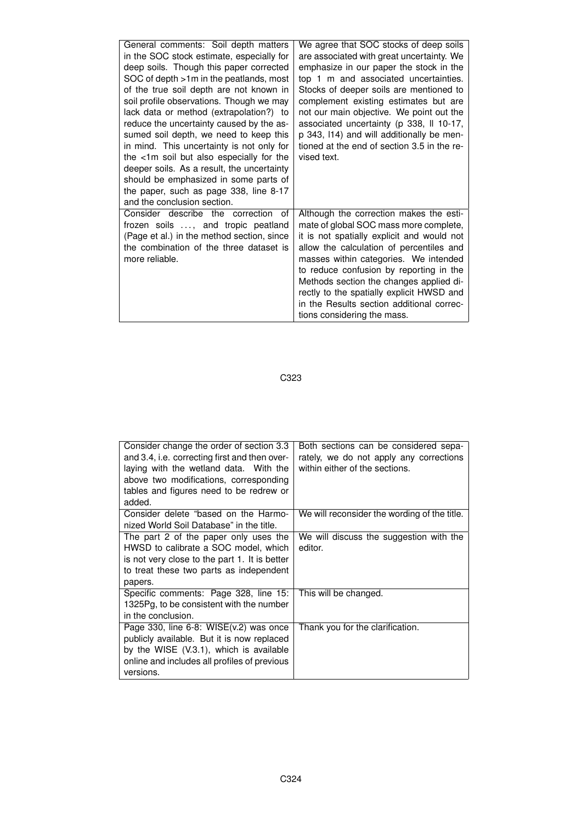| General comments: Soil depth matters<br>in the SOC stock estimate, especially for<br>deep soils. Though this paper corrected<br>SOC of depth >1m in the peatlands, most<br>of the true soil depth are not known in<br>soil profile observations. Though we may<br>lack data or method (extrapolation?) to<br>reduce the uncertainty caused by the as-<br>sumed soil depth, we need to keep this<br>in mind. This uncertainty is not only for<br>the <1m soil but also especially for the<br>deeper soils. As a result, the uncertainty<br>should be emphasized in some parts of<br>the paper, such as page 338, line 8-17<br>and the conclusion section. | We agree that SOC stocks of deep soils<br>are associated with great uncertainty. We<br>emphasize in our paper the stock in the<br>top 1 m and associated uncertainties.<br>Stocks of deeper soils are mentioned to<br>complement existing estimates but are<br>not our main objective. We point out the<br>associated uncertainty (p 338, Il 10-17,<br>p 343, I14) and will additionally be men-<br>tioned at the end of section 3.5 in the re-<br>vised text. |
|----------------------------------------------------------------------------------------------------------------------------------------------------------------------------------------------------------------------------------------------------------------------------------------------------------------------------------------------------------------------------------------------------------------------------------------------------------------------------------------------------------------------------------------------------------------------------------------------------------------------------------------------------------|----------------------------------------------------------------------------------------------------------------------------------------------------------------------------------------------------------------------------------------------------------------------------------------------------------------------------------------------------------------------------------------------------------------------------------------------------------------|
| Consider describe the correction of<br>frozen soils , and tropic peatland<br>(Page et al.) in the method section, since<br>the combination of the three dataset is<br>more reliable.                                                                                                                                                                                                                                                                                                                                                                                                                                                                     | Although the correction makes the esti-<br>mate of global SOC mass more complete,<br>it is not spatially explicit and would not<br>allow the calculation of percentiles and<br>masses within categories. We intended<br>to reduce confusion by reporting in the<br>Methods section the changes applied di-<br>rectly to the spatially explicit HWSD and<br>in the Results section additional correc-<br>tions considering the mass.                            |

C323

| Consider change the order of section 3.3<br>and 3.4, i.e. correcting first and then over-<br>laying with the wetland data. With the<br>above two modifications, corresponding<br>tables and figures need to be redrew or<br>added. | Both sections can be considered sepa-<br>rately, we do not apply any corrections<br>within either of the sections. |
|------------------------------------------------------------------------------------------------------------------------------------------------------------------------------------------------------------------------------------|--------------------------------------------------------------------------------------------------------------------|
| Consider delete "based on the Harmo-<br>nized World Soil Database" in the title.                                                                                                                                                   | We will reconsider the wording of the title.                                                                       |
| The part 2 of the paper only uses the<br>HWSD to calibrate a SOC model, which<br>is not very close to the part 1. It is better<br>to treat these two parts as independent<br>papers.                                               | We will discuss the suggestion with the<br>editor.                                                                 |
| Specific comments: Page 328, line 15:<br>1325Pg, to be consistent with the number<br>in the conclusion.                                                                                                                            | This will be changed.                                                                                              |
| Page 330, line $6-8$ : WISE(v.2) was once<br>publicly available. But it is now replaced<br>by the WISE (V.3.1), which is available<br>online and includes all profiles of previous<br>versions.                                    | Thank you for the clarification.                                                                                   |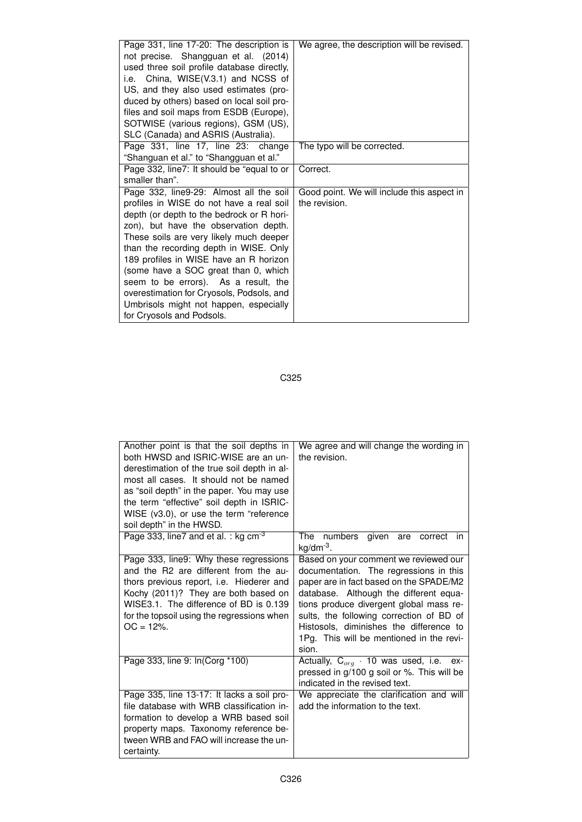| Page 331, line 17-20: The description is<br>not precise. Shangguan et al. (2014)<br>used three soil profile database directly,<br>i.e. China, WISE(V.3.1) and NCSS of<br>US, and they also used estimates (pro-<br>duced by others) based on local soil pro-<br>files and soil maps from ESDB (Europe),<br>SOTWISE (various regions), GSM (US),<br>SLC (Canada) and ASRIS (Australia).                                                                                                                       | We agree, the description will be revised.                  |
|--------------------------------------------------------------------------------------------------------------------------------------------------------------------------------------------------------------------------------------------------------------------------------------------------------------------------------------------------------------------------------------------------------------------------------------------------------------------------------------------------------------|-------------------------------------------------------------|
| Page 331, line 17, line 23: change<br>"Shanguan et al." to "Shangguan et al."                                                                                                                                                                                                                                                                                                                                                                                                                                | The typo will be corrected.                                 |
| Page 332, line7: It should be "equal to or<br>smaller than".                                                                                                                                                                                                                                                                                                                                                                                                                                                 | Correct.                                                    |
| Page 332, line9-29: Almost all the soil<br>profiles in WISE do not have a real soil<br>depth (or depth to the bedrock or R hori-<br>zon), but have the observation depth.<br>These soils are very likely much deeper<br>than the recording depth in WISE. Only<br>189 profiles in WISE have an R horizon<br>(some have a SOC great than 0, which<br>seem to be errors). As a result, the<br>overestimation for Cryosols, Podsols, and<br>Umbrisols might not happen, especially<br>for Cryosols and Podsols. | Good point. We will include this aspect in<br>the revision. |

C325

| Another point is that the soil depths in<br>both HWSD and ISRIC-WISE are an un-<br>derestimation of the true soil depth in al-<br>most all cases. It should not be named<br>as "soil depth" in the paper. You may use<br>the term "effective" soil depth in ISRIC-<br>WISE (v3.0), or use the term "reference<br>soil depth" in the HWSD. | We agree and will change the wording in<br>the revision.                                                                                                                                                                                                                                                                                                    |
|-------------------------------------------------------------------------------------------------------------------------------------------------------------------------------------------------------------------------------------------------------------------------------------------------------------------------------------------|-------------------------------------------------------------------------------------------------------------------------------------------------------------------------------------------------------------------------------------------------------------------------------------------------------------------------------------------------------------|
| Page 333, line7 and et al. : kg $cm-3$                                                                                                                                                                                                                                                                                                    | numbers<br>The<br>given<br>are<br>correct<br>in.<br>kg/dm <sup>-3</sup> .                                                                                                                                                                                                                                                                                   |
| Page 333, line9: Why these regressions<br>and the R2 are different from the au-<br>thors previous report, i.e. Hiederer and<br>Kochy (2011)? They are both based on<br>WISE3.1. The difference of BD is 0.139<br>for the topsoil using the regressions when<br>$OC = 12\%$ .                                                              | Based on your comment we reviewed our<br>documentation. The regressions in this<br>paper are in fact based on the SPADE/M2<br>database. Although the different equa-<br>tions produce divergent global mass re-<br>sults, the following correction of BD of<br>Histosols, diminishes the difference to<br>1Pg. This will be mentioned in the revi-<br>sion. |
| Page 333, line 9: In(Corg *100)                                                                                                                                                                                                                                                                                                           | Actually, $C_{org}$ · 10 was used, i.e.<br>ex-<br>pressed in g/100 g soil or %. This will be<br>indicated in the revised text.                                                                                                                                                                                                                              |
| Page 335, line 13-17: It lacks a soil pro-<br>file database with WRB classification in-<br>formation to develop a WRB based soil<br>property maps. Taxonomy reference be-<br>tween WRB and FAO will increase the un-<br>certainty.                                                                                                        | We appreciate the clarification and will<br>add the information to the text.                                                                                                                                                                                                                                                                                |